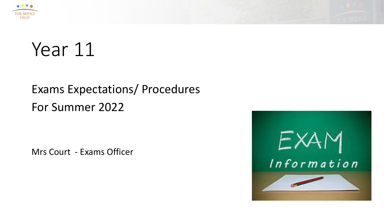



## Year 11

#### Exams Expectations/ Procedures For Summer 2022

Mrs Court - Exams Officer

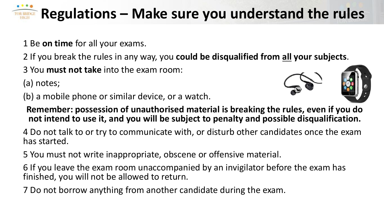#### **Regulations – Make sure you understand the rules TOR BRIDGE**

1 Be **on time** for all your exams.

2 If you break the rules in any way, you **could be disqualified from all your subjects**.

3 You **must not take** into the exam room:

(a) notes;

(b) a mobile phone or similar device, or a watch.



**Remember: possession of unauthorised material is breaking the rules, even if you do not intend to use it, and you will be subject to penalty and possible disqualification.**

4 Do not talk to or try to communicate with, or disturb other candidates once the exam has started.

5 You must not write inappropriate, obscene or offensive material.

6 If you leave the exam room unaccompanied by an invigilator before the exam has finished, you will not be allowed to return.

7 Do not borrow anything from another candidate during the exam.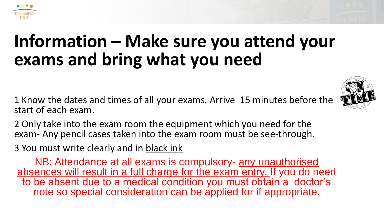

## **Information – Make sure you attend your exams and bring what you need**

1 Know the dates and times of all your exams. Arrive 15 minutes before the start of each exam.



2 Only take into the exam room the equipment which you need for the exam- Any pencil cases taken into the exam room must be see-through.

3 You must write clearly and in black ink

NB: Attendance at all exams is compulsory- any unauthorised absences will result in a full charge for the exam entry. If you do need to be absent due to a medical condition you must obtain a doctor's note so special consideration can be applied for if appropriate.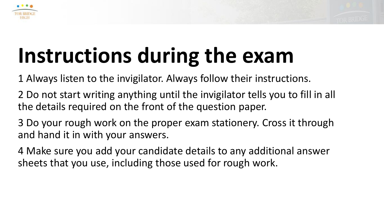



# **Instructions during the exam**

1 Always listen to the invigilator. Always follow their instructions.

- 2 Do not start writing anything until the invigilator tells you to fill in all the details required on the front of the question paper.
- 3 Do your rough work on the proper exam stationery. Cross it through and hand it in with your answers.
- 4 Make sure you add your candidate details to any additional answer sheets that you use, including those used for rough work.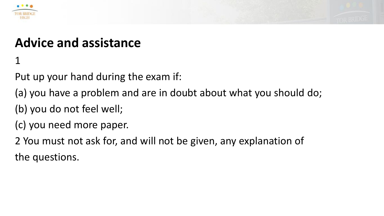



### **Advice and assistance**

1

Put up your hand during the exam if:

- (a) you have a problem and are in doubt about what you should do;
- (b) you do not feel well;
- (c) you need more paper.

2 You must not ask for, and will not be given, any explanation of the questions.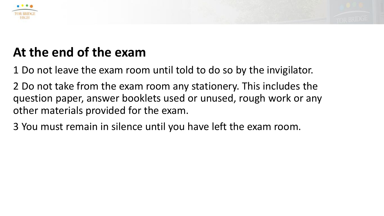



### **At the end of the exam**

1 Do not leave the exam room until told to do so by the invigilator.

2 Do not take from the exam room any stationery. This includes the question paper, answer booklets used or unused, rough work or any other materials provided for the exam.

3 You must remain in silence until you have left the exam room.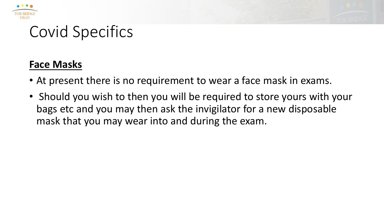



## Covid Specifics

#### **Face Masks**

- At present there is no requirement to wear a face mask in exams.
- Should you wish to then you will be required to store yours with your bags etc and you may then ask the invigilator for a new disposable mask that you may wear into and during the exam.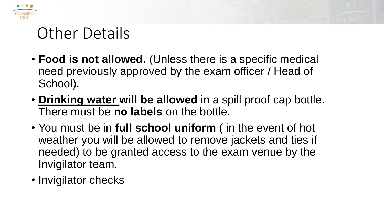



## Other Details

- **Food is not allowed.** (Unless there is a specific medical need previously approved by the exam officer / Head of School).
- **Drinking water will be allowed** in a spill proof cap bottle. There must be **no labels** on the bottle.
- You must be in **full school uniform** ( in the event of hot weather you will be allowed to remove jackets and ties if needed) to be granted access to the exam venue by the Invigilator team.
- Invigilator checks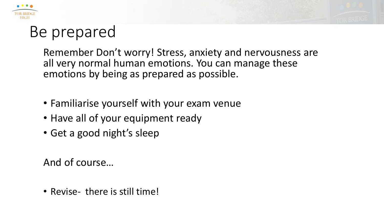



## Be prepared

Remember Don't worry! Stress, anxiety and nervousness are all very normal human emotions. You can manage these emotions by being as prepared as possible.

- Familiarise yourself with your exam venue
- Have all of your equipment ready
- Get a good night's sleep

And of course…

• Revise- there is still time!